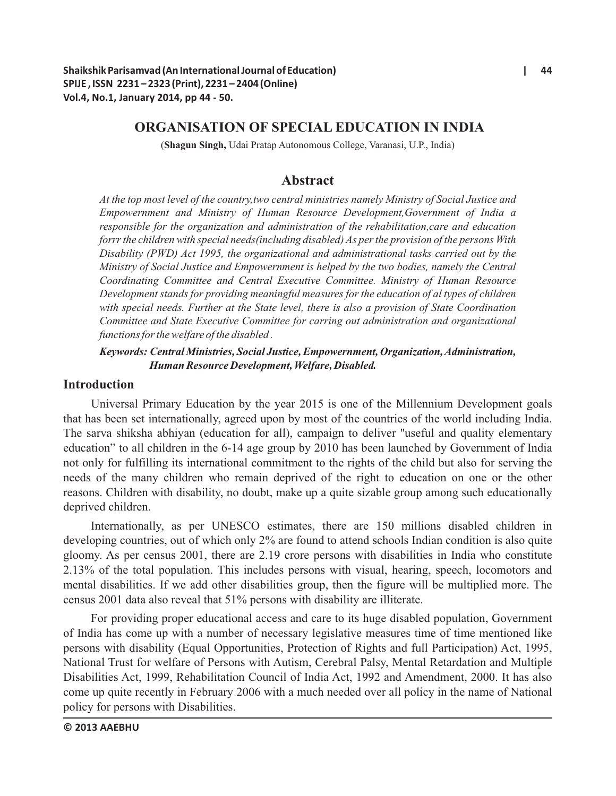# **ORGANISATION OF SPECIAL EDUCATION IN INDIA**

(**Shagun Singh,** Udai Pratap Autonomous College, Varanasi, U.P., India)

# **Abstract**

*At the top most level of the country,two central ministries namely Ministry of Social Justice and Empowernment and Ministry of Human Resource Development,Government of India a responsible for the organization and administration of the rehabilitation,care and education forrr the children with special needs(including disabled) As per the provision of the persons With Disability (PWD) Act 1995, the organizational and administrational tasks carried out by the Ministry of Social Justice and Empowernment is helped by the two bodies, namely the Central Coordinating Committee and Central Executive Committee. Ministry of Human Resource Development stands for providing meaningful measures for the education of al types of children with special needs. Further at the State level, there is also a provision of State Coordination Committee and State Executive Committee for carring out administration and organizational functions for the welfare of the disabled .*

# *Keywords: Central Ministries, Social Justice, Empowernment, Organization, Administration, Human Resource Development, Welfare, Disabled.*

# **Introduction**

Universal Primary Education by the year 2015 is one of the Millennium Development goals that has been set internationally, agreed upon by most of the countries of the world including India. The sarva shiksha abhiyan (education for all), campaign to deliver ''useful and quality elementary education" to all children in the 6-14 age group by 2010 has been launched by Government of India not only for fulfilling its international commitment to the rights of the child but also for serving the needs of the many children who remain deprived of the right to education on one or the other reasons. Children with disability, no doubt, make up a quite sizable group among such educationally deprived children.

Internationally, as per UNESCO estimates, there are 150 millions disabled children in developing countries, out of which only 2% are found to attend schools Indian condition is also quite gloomy. As per census 2001, there are 2.19 crore persons with disabilities in India who constitute 2.13% of the total population. This includes persons with visual, hearing, speech, locomotors and mental disabilities. If we add other disabilities group, then the figure will be multiplied more. The census 2001 data also reveal that 51% persons with disability are illiterate.

For providing proper educational access and care to its huge disabled population, Government of India has come up with a number of necessary legislative measures time of time mentioned like persons with disability (Equal Opportunities, Protection of Rights and full Participation) Act, 1995, National Trust for welfare of Persons with Autism, Cerebral Palsy, Mental Retardation and Multiple Disabilities Act, 1999, Rehabilitation Council of India Act, 1992 and Amendment, 2000. It has also come up quite recently in February 2006 with a much needed over all policy in the name of National policy for persons with Disabilities.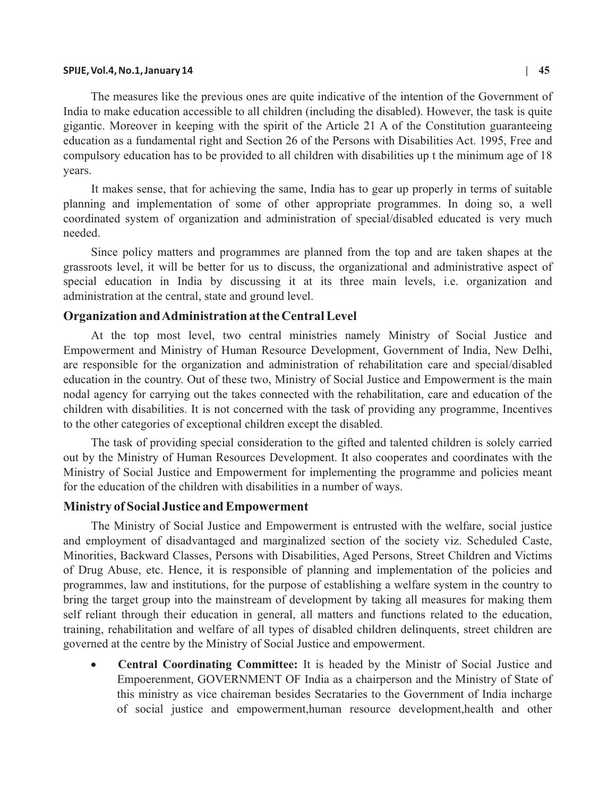#### **SPIJE, Vol.4, No.1, January 14 | 45**

The measures like the previous ones are quite indicative of the intention of the Government of India to make education accessible to all children (including the disabled). However, the task is quite gigantic. Moreover in keeping with the spirit of the Article 21 A of the Constitution guaranteeing education as a fundamental right and Section 26 of the Persons with Disabilities Act. 1995, Free and compulsory education has to be provided to all children with disabilities up t the minimum age of 18 years.

It makes sense, that for achieving the same, India has to gear up properly in terms of suitable planning and implementation of some of other appropriate programmes. In doing so, a well coordinated system of organization and administration of special/disabled educated is very much needed.

Since policy matters and programmes are planned from the top and are taken shapes at the grassroots level, it will be better for us to discuss, the organizational and administrative aspect of special education in India by discussing it at its three main levels, i.e. organization and administration at the central, state and ground level.

## **Organization and Administration at the Central Level**

At the top most level, two central ministries namely Ministry of Social Justice and Empowerment and Ministry of Human Resource Development, Government of India, New Delhi, are responsible for the organization and administration of rehabilitation care and special/disabled education in the country. Out of these two, Ministry of Social Justice and Empowerment is the main nodal agency for carrying out the takes connected with the rehabilitation, care and education of the children with disabilities. It is not concerned with the task of providing any programme, Incentives to the other categories of exceptional children except the disabled.

The task of providing special consideration to the gifted and talented children is solely carried out by the Ministry of Human Resources Development. It also cooperates and coordinates with the Ministry of Social Justice and Empowerment for implementing the programme and policies meant for the education of the children with disabilities in a number of ways.

### **Ministry of Social Justice and Empowerment**

The Ministry of Social Justice and Empowerment is entrusted with the welfare, social justice and employment of disadvantaged and marginalized section of the society viz. Scheduled Caste, Minorities, Backward Classes, Persons with Disabilities, Aged Persons, Street Children and Victims of Drug Abuse, etc. Hence, it is responsible of planning and implementation of the policies and programmes, law and institutions, for the purpose of establishing a welfare system in the country to bring the target group into the mainstream of development by taking all measures for making them self reliant through their education in general, all matters and functions related to the education, training, rehabilitation and welfare of all types of disabled children delinquents, street children are governed at the centre by the Ministry of Social Justice and empowerment.

> **Central Coordinating Committee:** It is headed by the Ministr of Social Justice and Empoerenment, GOVERNMENT OF India as a chairperson and the Ministry of State of this ministry as vice chaireman besides Secrataries to the Government of India incharge of social justice and empowerment,human resource development,health and other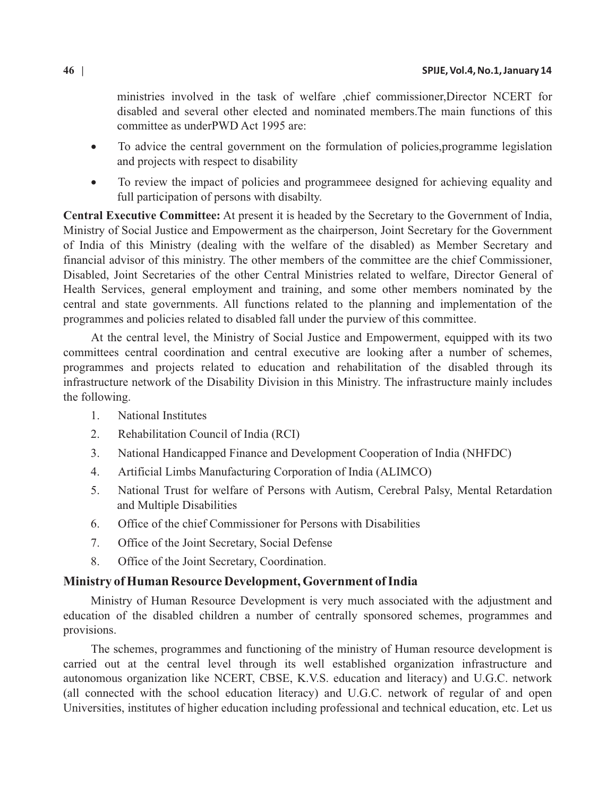ministries involved in the task of welfare ,chief commissioner,Director NCERT for disabled and several other elected and nominated members.The main functions of this committee as underPWD Act 1995 are:

To advice the central government on the formulation of policies,programme legislation and projects with respect to disability

To review the impact of policies and programmeee designed for achieving equality and full participation of persons with disabilty.

**Central Executive Committee:** At present it is headed by the Secretary to the Government of India, Ministry of Social Justice and Empowerment as the chairperson, Joint Secretary for the Government of India of this Ministry (dealing with the welfare of the disabled) as Member Secretary and financial advisor of this ministry. The other members of the committee are the chief Commissioner, Disabled, Joint Secretaries of the other Central Ministries related to welfare, Director General of Health Services, general employment and training, and some other members nominated by the central and state governments. All functions related to the planning and implementation of the programmes and policies related to disabled fall under the purview of this committee.

At the central level, the Ministry of Social Justice and Empowerment, equipped with its two committees central coordination and central executive are looking after a number of schemes, programmes and projects related to education and rehabilitation of the disabled through its infrastructure network of the Disability Division in this Ministry. The infrastructure mainly includes the following.

- 1. National Institutes
- 2. Rehabilitation Council of India (RCI)
- 3. National Handicapped Finance and Development Cooperation of India (NHFDC)
- 4. Artificial Limbs Manufacturing Corporation of India (ALIMCO)
- 5. National Trust for welfare of Persons with Autism, Cerebral Palsy, Mental Retardation and Multiple Disabilities
- 6. Office of the chief Commissioner for Persons with Disabilities
- 7. Office of the Joint Secretary, Social Defense
- 8. Office of the Joint Secretary, Coordination.

# **Ministry of Human Resource Development, Government of India**

Ministry of Human Resource Development is very much associated with the adjustment and education of the disabled children a number of centrally sponsored schemes, programmes and provisions.

The schemes, programmes and functioning of the ministry of Human resource development is carried out at the central level through its well established organization infrastructure and autonomous organization like NCERT, CBSE, K.V.S. education and literacy) and U.G.C. network (all connected with the school education literacy) and U.G.C. network of regular of and open Universities, institutes of higher education including professional and technical education, etc. Let us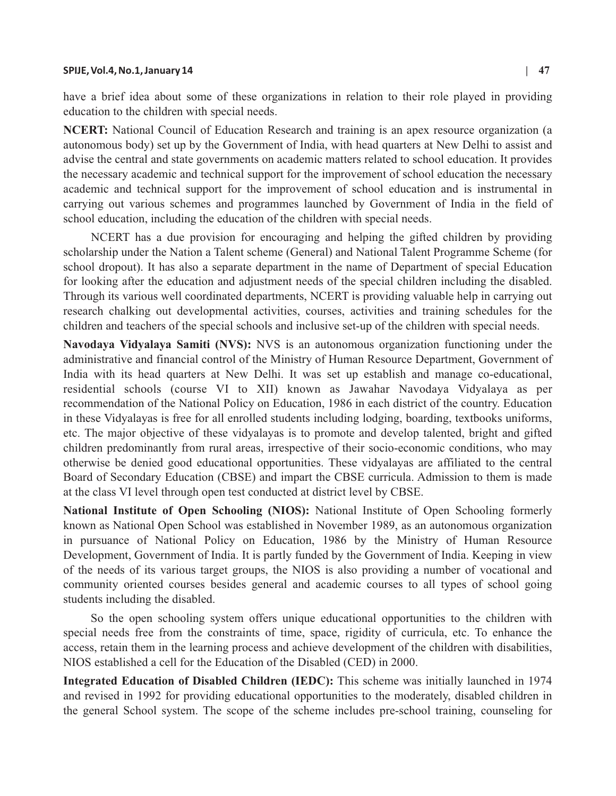## **SPIJE, Vol.4, No.1, January 14 | 47**

have a brief idea about some of these organizations in relation to their role played in providing education to the children with special needs.

**NCERT:** National Council of Education Research and training is an apex resource organization (a autonomous body) set up by the Government of India, with head quarters at New Delhi to assist and advise the central and state governments on academic matters related to school education. It provides the necessary academic and technical support for the improvement of school education the necessary academic and technical support for the improvement of school education and is instrumental in carrying out various schemes and programmes launched by Government of India in the field of school education, including the education of the children with special needs.

NCERT has a due provision for encouraging and helping the gifted children by providing scholarship under the Nation a Talent scheme (General) and National Talent Programme Scheme (for school dropout). It has also a separate department in the name of Department of special Education for looking after the education and adjustment needs of the special children including the disabled. Through its various well coordinated departments, NCERT is providing valuable help in carrying out research chalking out developmental activities, courses, activities and training schedules for the children and teachers of the special schools and inclusive set-up of the children with special needs.

**Navodaya Vidyalaya Samiti (NVS):** NVS is an autonomous organization functioning under the administrative and financial control of the Ministry of Human Resource Department, Government of India with its head quarters at New Delhi. It was set up establish and manage co-educational, residential schools (course VI to XII) known as Jawahar Navodaya Vidyalaya as per recommendation of the National Policy on Education, 1986 in each district of the country. Education in these Vidyalayas is free for all enrolled students including lodging, boarding, textbooks uniforms, etc. The major objective of these vidyalayas is to promote and develop talented, bright and gifted children predominantly from rural areas, irrespective of their socio-economic conditions, who may otherwise be denied good educational opportunities. These vidyalayas are affiliated to the central Board of Secondary Education (CBSE) and impart the CBSE curricula. Admission to them is made at the class VI level through open test conducted at district level by CBSE.

**National Institute of Open Schooling (NIOS):** National Institute of Open Schooling formerly known as National Open School was established in November 1989, as an autonomous organization in pursuance of National Policy on Education, 1986 by the Ministry of Human Resource Development, Government of India. It is partly funded by the Government of India. Keeping in view of the needs of its various target groups, the NIOS is also providing a number of vocational and community oriented courses besides general and academic courses to all types of school going students including the disabled.

So the open schooling system offers unique educational opportunities to the children with special needs free from the constraints of time, space, rigidity of curricula, etc. To enhance the access, retain them in the learning process and achieve development of the children with disabilities, NIOS established a cell for the Education of the Disabled (CED) in 2000.

**Integrated Education of Disabled Children (IEDC):** This scheme was initially launched in 1974 and revised in 1992 for providing educational opportunities to the moderately, disabled children in the general School system. The scope of the scheme includes pre-school training, counseling for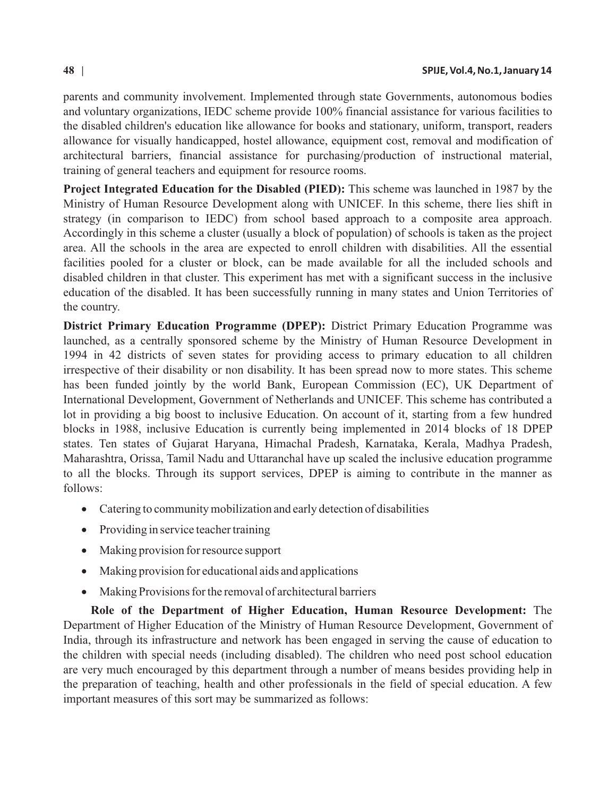parents and community involvement. Implemented through state Governments, autonomous bodies and voluntary organizations, IEDC scheme provide 100% financial assistance for various facilities to the disabled children's education like allowance for books and stationary, uniform, transport, readers allowance for visually handicapped, hostel allowance, equipment cost, removal and modification of architectural barriers, financial assistance for purchasing/production of instructional material, training of general teachers and equipment for resource rooms.

**Project Integrated Education for the Disabled (PIED):** This scheme was launched in 1987 by the Ministry of Human Resource Development along with UNICEF. In this scheme, there lies shift in strategy (in comparison to IEDC) from school based approach to a composite area approach. Accordingly in this scheme a cluster (usually a block of population) of schools is taken as the project area. All the schools in the area are expected to enroll children with disabilities. All the essential facilities pooled for a cluster or block, can be made available for all the included schools and disabled children in that cluster. This experiment has met with a significant success in the inclusive education of the disabled. It has been successfully running in many states and Union Territories of the country.

**District Primary Education Programme (DPEP):** District Primary Education Programme was launched, as a centrally sponsored scheme by the Ministry of Human Resource Development in 1994 in 42 districts of seven states for providing access to primary education to all children irrespective of their disability or non disability. It has been spread now to more states. This scheme has been funded jointly by the world Bank, European Commission (EC), UK Department of International Development, Government of Netherlands and UNICEF. This scheme has contributed a lot in providing a big boost to inclusive Education. On account of it, starting from a few hundred blocks in 1988, inclusive Education is currently being implemented in 2014 blocks of 18 DPEP states. Ten states of Gujarat Haryana, Himachal Pradesh, Karnataka, Kerala, Madhya Pradesh, Maharashtra, Orissa, Tamil Nadu and Uttaranchal have up scaled the inclusive education programme to all the blocks. Through its support services, DPEP is aiming to contribute in the manner as follows:

Catering to community mobilization and early detection of disabilities

Providing in service teacher training

Making provision for resource support

Making provision for educational aids and applications

Making Provisions for the removal of architectural barriers

**Role of the Department of Higher Education, Human Resource Development:** The Department of Higher Education of the Ministry of Human Resource Development, Government of India, through its infrastructure and network has been engaged in serving the cause of education to the children with special needs (including disabled). The children who need post school education are very much encouraged by this department through a number of means besides providing help in the preparation of teaching, health and other professionals in the field of special education. A few important measures of this sort may be summarized as follows: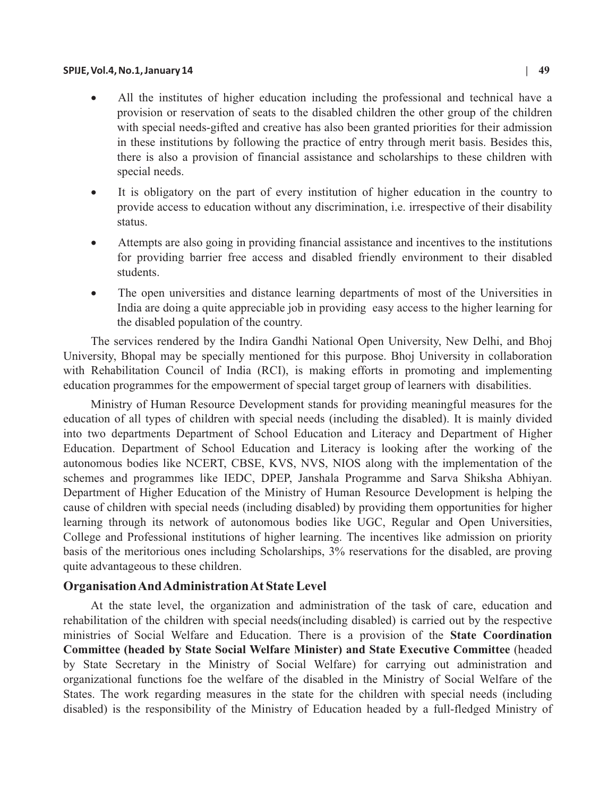All the institutes of higher education including the professional and technical have a provision or reservation of seats to the disabled children the other group of the children with special needs-gifted and creative has also been granted priorities for their admission in these institutions by following the practice of entry through merit basis. Besides this, there is also a provision of financial assistance and scholarships to these children with special needs.

It is obligatory on the part of every institution of higher education in the country to provide access to education without any discrimination, i.e. irrespective of their disability status.

Attempts are also going in providing financial assistance and incentives to the institutions for providing barrier free access and disabled friendly environment to their disabled students.

The open universities and distance learning departments of most of the Universities in India are doing a quite appreciable job in providing easy access to the higher learning for the disabled population of the country.

The services rendered by the Indira Gandhi National Open University, New Delhi, and Bhoj University, Bhopal may be specially mentioned for this purpose. Bhoj University in collaboration with Rehabilitation Council of India (RCI), is making efforts in promoting and implementing education programmes for the empowerment of special target group of learners with disabilities.

Ministry of Human Resource Development stands for providing meaningful measures for the education of all types of children with special needs (including the disabled). It is mainly divided into two departments Department of School Education and Literacy and Department of Higher Education. Department of School Education and Literacy is looking after the working of the autonomous bodies like NCERT, CBSE, KVS, NVS, NIOS along with the implementation of the schemes and programmes like IEDC, DPEP, Janshala Programme and Sarva Shiksha Abhiyan. Department of Higher Education of the Ministry of Human Resource Development is helping the cause of children with special needs (including disabled) by providing them opportunities for higher learning through its network of autonomous bodies like UGC, Regular and Open Universities, College and Professional institutions of higher learning. The incentives like admission on priority basis of the meritorious ones including Scholarships, 3% reservations for the disabled, are proving quite advantageous to these children.

# **Organisation And Administration At State Level**

At the state level, the organization and administration of the task of care, education and rehabilitation of the children with special needs(including disabled) is carried out by the respective ministries of Social Welfare and Education. There is a provision of the **State Coordination Committee (headed by State Social Welfare Minister) and State Executive Committee** (headed by State Secretary in the Ministry of Social Welfare) for carrying out administration and organizational functions foe the welfare of the disabled in the Ministry of Social Welfare of the States. The work regarding measures in the state for the children with special needs (including disabled) is the responsibility of the Ministry of Education headed by a full-fledged Ministry of